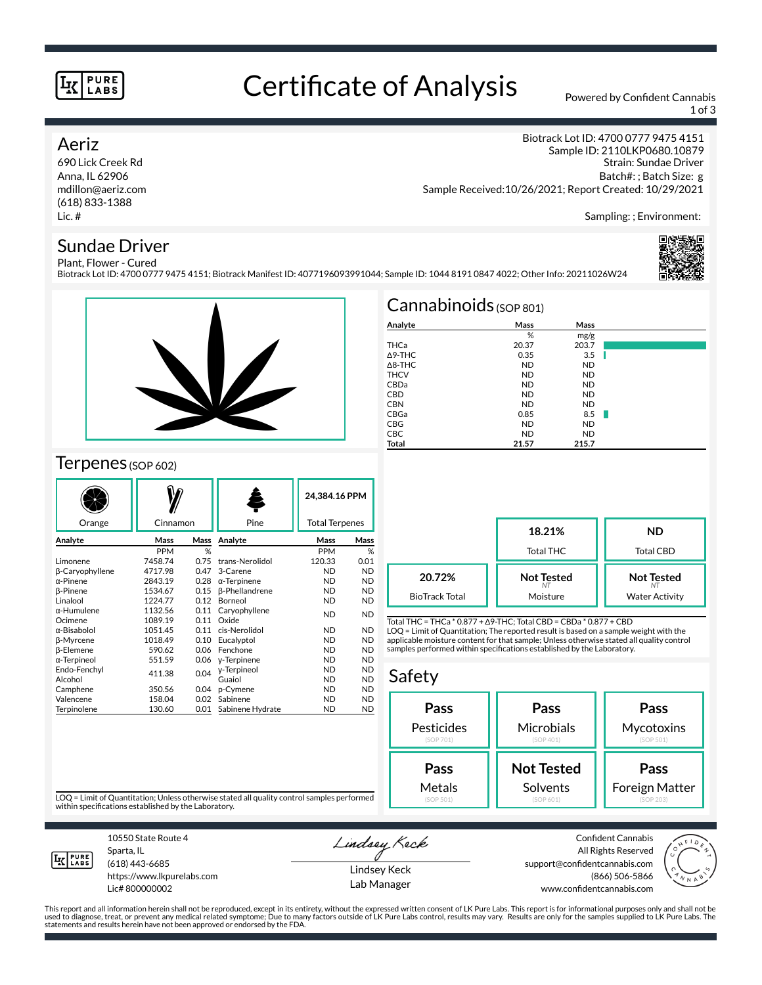#### **PURE LABS**

# Certificate of Analysis Powered by Confident Cannabis

1 of 3

#### Aeriz

690 Lick Creek Rd Anna, IL 62906 mdillon@aeriz.com (618) 833-1388 Lic. #

Biotrack Lot ID: 4700 0777 9475 4151 Sample ID: 2110LKP0680.10879 Strain: Sundae Driver Batch#: ; Batch Size: g Sample Received:10/26/2021; Report Created: 10/29/2021

Sampling: ; Environment:

### Sundae Driver

Plant, Flower - Cured Biotrack Lot ID: 4700 0777 9475 4151; Biotrack Manifest ID: 4077196093991044; Sample ID: 1044 8191 0847 4022; Other Info: 20211026W24





### Terpenes (SOP 602)

| Orange             | Cinnamon     |      | Pine                  |            | 24.384.16 PPM<br><b>Total Terpenes</b> |  |
|--------------------|--------------|------|-----------------------|------------|----------------------------------------|--|
| Analyte            | Mass<br>Mass |      | Analyte               | Mass       | Mass                                   |  |
|                    | <b>PPM</b>   | %    |                       | <b>PPM</b> | %                                      |  |
| Limonene           | 7458.74      | 0.75 | trans-Nerolidol       | 120.33     | 0.01                                   |  |
| β-Caryophyllene    | 4717.98      | 0.47 | 3-Carene              | <b>ND</b>  | <b>ND</b>                              |  |
| $\alpha$ -Pinene   | 2843.19      | 0.28 | $\alpha$ -Terpinene   | <b>ND</b>  | <b>ND</b>                              |  |
| β-Pinene           | 1534.67      | 0.15 | <b>B-Phellandrene</b> | ND         | <b>ND</b>                              |  |
| Linalool           | 1224.77      | 0.12 | Borneol               | ND         | <b>ND</b>                              |  |
| $\alpha$ -Humulene | 1132.56      | 0.11 | Caryophyllene         | <b>ND</b>  | <b>ND</b>                              |  |
| Ocimene            | 1089.19      | 0.11 | Oxide                 |            |                                        |  |
| α-Bisabolol        | 1051.45      | 0.11 | cis-Nerolidol         | <b>ND</b>  | <b>ND</b>                              |  |
| <b>ß-Myrcene</b>   | 1018.49      | 0.10 | Eucalyptol            | <b>ND</b>  | <b>ND</b>                              |  |
| β-Elemene          | 590.62       | 0.06 | Fenchone              | <b>ND</b>  | <b>ND</b>                              |  |
| α-Terpineol        | 551.59       | 0.06 | y-Terpinene           | ND         | <b>ND</b>                              |  |
| Endo-Fenchyl       | 411.38       | 0.04 | y-Terpineol           | <b>ND</b>  | <b>ND</b>                              |  |
| Alcohol            |              |      | Guaiol                | <b>ND</b>  | <b>ND</b>                              |  |
| Camphene           | 350.56       | 0.04 | p-Cymene              | ND         | <b>ND</b>                              |  |
| Valencene          | 158.04       | 0.02 | Sabinene              | ND         | <b>ND</b>                              |  |
| Terpinolene        | 130.60       | 0.01 | Sabinene Hydrate      | ND         | <b>ND</b>                              |  |

|                   | $Cannabinoids$ (SOP 801) |           |  |
|-------------------|--------------------------|-----------|--|
| Analyte           | Mass                     | Mass      |  |
|                   | %                        | mg/g      |  |
| THCa              | 20.37                    | 203.7     |  |
| $\triangle$ 9-THC | 0.35                     | 3.5       |  |
| $\triangle$ 8-THC | <b>ND</b>                | <b>ND</b> |  |
| <b>THCV</b>       | <b>ND</b>                | <b>ND</b> |  |
| CBDa              | <b>ND</b>                | <b>ND</b> |  |
| <b>CBD</b>        | <b>ND</b>                | <b>ND</b> |  |
| <b>CBN</b>        | <b>ND</b>                | <b>ND</b> |  |
| CBGa              | 0.85                     | 8.5       |  |
| <b>CBG</b>        | <b>ND</b>                | <b>ND</b> |  |
| <b>CBC</b>        | <b>ND</b>                | <b>ND</b> |  |
| Total             | 21.57                    | 215.7     |  |

|                       | 18.21%<br><b>Total THC</b> | <b>ND</b><br><b>Total CBD</b> |
|-----------------------|----------------------------|-------------------------------|
| 20.72%                | <b>Not Tested</b>          | <b>Not Tested</b>             |
| <b>BioTrack Total</b> | Moisture                   | <b>Water Activity</b>         |

Total THC = THCa \* 0.877 + ∆9-THC; Total CBD = CBDa \* 0.877 + CBD LOQ = Limit of Quantitation; The reported result is based on a sample weight with the applicable moisture content for that sample; Unless otherwise stated all quality control samples performed within specifications established by the Laboratory.

#### Safety



LOQ = Limit of Quantitation; Unless otherwise stated all quality control samples performed within specifications established by the Laboratory.



10550 State Route 4 Sparta, IL (618) 443-6685

https://www.lkpurelabs.com Lic# 800000002

Lindsey Keck

Lindsey Keck Lab Manager

Confident Cannabis All Rights Reserved support@confidentcannabis.com (866) 506-5866 www.confidentcannabis.com



This report and all information herein shall not be reproduced, except in its entirety, without the expressed written consent of LK Pure Labs. This report is for informational purposes only and shall not be<br>used to diagnos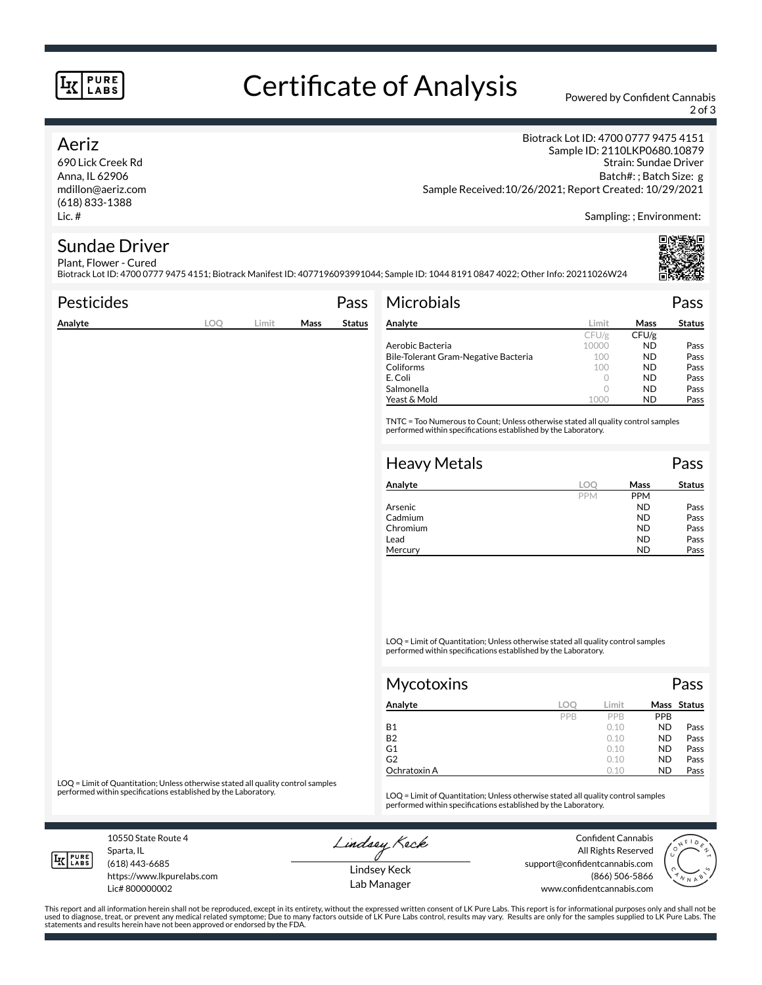#### **PURE LABS**

# Certificate of Analysis Powered by Confident Cannabis

2 of 3

#### Aeriz

690 Lick Creek Rd Anna, IL 62906 mdillon@aeriz.com (618) 833-1388 Lic. #

Biotrack Lot ID: 4700 0777 9475 4151 Sample ID: 2110LKP0680.10879 Strain: Sundae Driver Batch#: ; Batch Size: g Sample Received:10/26/2021; Report Created: 10/29/2021

Sampling: ; Environment:

## Sundae Driver

Plant, Flower - Cured Biotrack Lot ID: 4700 0777 9475 4151; Biotrack Manifest ID: 4077196093991044; Sample ID: 1044 8191 0847 4022; Other Info: 20211026W24

| <b>Pesticides</b> |     |       |      | Pass          | <b>Microbials</b>                                                                                                                                   |            |            | Pass          |
|-------------------|-----|-------|------|---------------|-----------------------------------------------------------------------------------------------------------------------------------------------------|------------|------------|---------------|
| Analyte           | LOQ | Limit | Mass | <b>Status</b> | Analyte                                                                                                                                             | Limit      | Mass       | <b>Status</b> |
|                   |     |       |      |               |                                                                                                                                                     | CFU/g      | CFU/g      |               |
|                   |     |       |      |               | Aerobic Bacteria                                                                                                                                    | 10000      | <b>ND</b>  | Pass          |
|                   |     |       |      |               | Bile-Tolerant Gram-Negative Bacteria                                                                                                                | 100        | <b>ND</b>  | Pass          |
|                   |     |       |      |               | Coliforms                                                                                                                                           | 100        | <b>ND</b>  | Pass          |
|                   |     |       |      |               | E. Coli                                                                                                                                             | $\circ$    | <b>ND</b>  | Pass          |
|                   |     |       |      |               | Salmonella                                                                                                                                          | 0          | <b>ND</b>  | Pass          |
|                   |     |       |      |               | Yeast & Mold                                                                                                                                        | 1000       | <b>ND</b>  | Pass          |
|                   |     |       |      |               | TNTC = Too Numerous to Count; Unless otherwise stated all quality control samples<br>performed within specifications established by the Laboratory. |            |            |               |
|                   |     |       |      |               | <b>Heavy Metals</b>                                                                                                                                 |            |            | Pass          |
|                   |     |       |      |               | Analyte                                                                                                                                             | <b>LOO</b> | Mass       | <b>Status</b> |
|                   |     |       |      |               |                                                                                                                                                     | <b>PPM</b> | <b>PPM</b> |               |

| Analyte  |            | Mass       | Status |
|----------|------------|------------|--------|
|          | <b>PPM</b> | <b>PPM</b> |        |
| Arsenic  |            | ND         | Pass   |
| Cadmium  |            | ND         | Pass   |
| Chromium |            | ND         | Pass   |
| Lead     |            | ND         | Pass   |
| Mercury  |            | ND         | Pass   |

LOQ = Limit of Quantitation; Unless otherwise stated all quality control samples performed within specifications established by the Laboratory.

| Mycotoxins   |     |            |            | Pass        |  |
|--------------|-----|------------|------------|-------------|--|
| Analyte      | LOC | Limit      |            | Mass Status |  |
|              | PPB | <b>PPR</b> | <b>PPB</b> |             |  |
| <b>B1</b>    |     | 0.10       | <b>ND</b>  | Pass        |  |
| <b>B2</b>    |     | 0.10       | <b>ND</b>  | Pass        |  |
| G1           |     | 0.10       | <b>ND</b>  | Pass        |  |
| G2           |     | 0.10       | <b>ND</b>  | Pass        |  |
| Ochratoxin A |     | 0.10       | <b>ND</b>  | Pass        |  |

LOQ = Limit of Quantitation; Unless otherwise stated all quality control samples<br>performed within specifications established by the Laboratory.

LOQ = Limit of Quantitation; Unless otherwise stated all quality control samples performed within specifications established by the Laboratory.

10550 State Route 4 Sparta, IL (618) 443-6685

**LK** LABS

Lic# 800000002

https://www.lkpurelabs.com

Lindsey Keck

Confident Cannabis All Rights Reserved support@confidentcannabis.com (866) 506-5866 www.confidentcannabis.com



Lindsey Keck Lab Manager

This report and all information herein shall not be reproduced, except in its entirety, without the expressed written consent of LK Pure Labs. This report is for informational purposes only and shall not be<br>used to diagnos